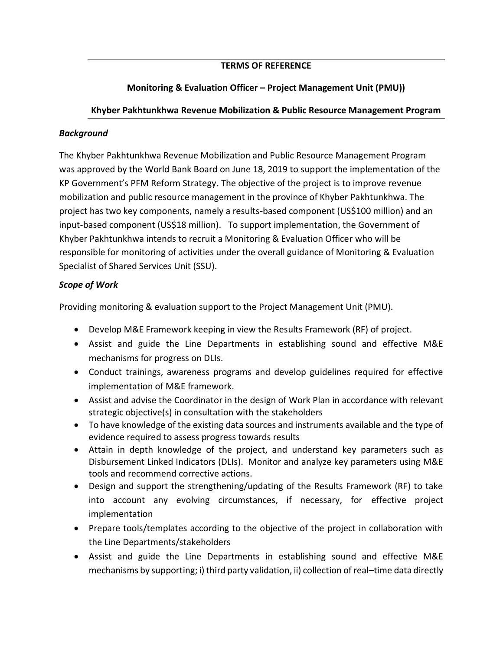# **TERMS OF REFERENCE**

# **Monitoring & Evaluation Officer – Project Management Unit (PMU))**

### **Khyber Pakhtunkhwa Revenue Mobilization & Public Resource Management Program**

#### *Background*

The Khyber Pakhtunkhwa Revenue Mobilization and Public Resource Management Program was approved by the World Bank Board on June 18, 2019 to support the implementation of the KP Government's PFM Reform Strategy. The objective of the project is to improve revenue mobilization and public resource management in the province of Khyber Pakhtunkhwa. The project has two key components, namely a results-based component (US\$100 million) and an input-based component (US\$18 million). To support implementation, the Government of Khyber Pakhtunkhwa intends to recruit a Monitoring & Evaluation Officer who will be responsible for monitoring of activities under the overall guidance of Monitoring & Evaluation Specialist of Shared Services Unit (SSU).

### *Scope of Work*

Providing monitoring & evaluation support to the Project Management Unit (PMU).

- Develop M&E Framework keeping in view the Results Framework (RF) of project.
- Assist and guide the Line Departments in establishing sound and effective M&E mechanisms for progress on DLIs.
- Conduct trainings, awareness programs and develop guidelines required for effective implementation of M&E framework.
- Assist and advise the Coordinator in the design of Work Plan in accordance with relevant strategic objective(s) in consultation with the stakeholders
- To have knowledge of the existing data sources and instruments available and the type of evidence required to assess progress towards results
- Attain in depth knowledge of the project, and understand key parameters such as Disbursement Linked Indicators (DLIs). Monitor and analyze key parameters using M&E tools and recommend corrective actions.
- Design and support the strengthening/updating of the Results Framework (RF) to take into account any evolving circumstances, if necessary, for effective project implementation
- Prepare tools/templates according to the objective of the project in collaboration with the Line Departments/stakeholders
- Assist and guide the Line Departments in establishing sound and effective M&E mechanisms by supporting; i) third party validation, ii) collection of real–time data directly